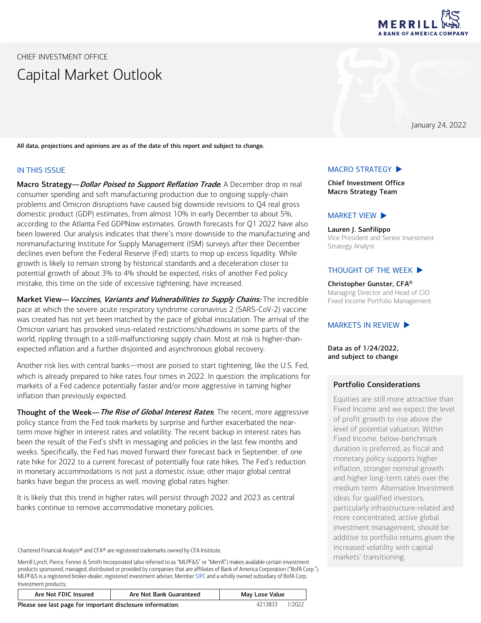

<span id="page-0-0"></span>CHIEF INVESTMENT OFFICE Capital Market Outlook

January 24, 2022

All data, projections and opinions are as of the date of this report and subject to change.

#### IN THIS ISSUE

Macro Strategy—*Dollar Poised to Support Reflation Trade*: A December drop in real consumer spending and soft manufacturing production due to ongoing supply-chain problems and Omicron disruptions have caused big downside revisions to Q4 real gross domestic product (GDP) estimates, from almost 10% in early December to about 5%, according to the Atlanta Fed GDPNow estimates. Growth forecasts for Q1 2022 have also been lowered. Our analysis indicates that there's more downside to the manufacturing and nonmanufacturing Institute for Supply Management (ISM) surveys after their December declines even before the Federal Reserve (Fed) starts to mop up excess liquidity. While growth is likely to remain strong by historical standards and a deceleration closer to potential growth of about 3% to 4% should be expected, risks of another Fed policy mistake, this time on the side of excessive tightening, have increased.

Market View-Vaccines, Variants and Vulnerabilities to Supply Chains: The incredible pace at which the severe acute respiratory syndrome coronavirus 2 (SARS-CoV-2) vaccine was created has not yet been matched by the pace of global inoculation. The arrival of the Omicron variant has provoked virus-related restrictions/shutdowns in some parts of the world, rippling through to a still-malfunctioning supply chain. Most at risk is higher-thanexpected inflation and a further disjointed and asynchronous global recovery.

Another risk lies with central banks—most are poised to start tightening, like the U.S. Fed, which is already prepared to hike rates four times in 2022. In question: the implications for markets of a Fed cadence potentially faster and/or more aggressive in taming higher inflation than previously expected.

Thought of the Week—The Rise of Global Interest Rates: The recent, more aggressive policy stance from the Fed took markets by surprise and further exacerbated the nearterm move higher in interest rates and volatility. The recent backup in interest rates has been the result of the Fed's shift in messaging and policies in the last few months and weeks. Specifically, the Fed has moved forward their forecast back in September, of one rate hike for 2022 to a current forecast of potentially four rate hikes. The Fed's reduction in monetary accommodations is not just a domestic issue; other major global central banks have begun the process as well, moving global rates higher.

It is likely that this trend in higher rates will persist through 2022 and 2023 as central banks continue to remove accommodative monetary policies.

Chartered Financial Analyst® and CFA® are registered trademarks owned by CFA Institute.

Merrill Lynch, Pierce, Fenner & Smith Incorporated (also referred to as "MLPF&S" or "Merrill") makes available certain investment products sponsored, managed, distributed or provided by companies that are affiliates of Bank of America Corporation ("BofA Corp."). MLPF&S is a registered broker-dealer, registered investment adviser, Membe[r SIPC](https://www.sipc.org/) and a wholly owned subsidiary of BofA Corp. Investment products:

| INVESTINENTE DI OUUCLS. |                         |                |
|-------------------------|-------------------------|----------------|
| Are Not FDIC Insured    | Are Not Bank Guaranteed | May Lose Value |

Please see last page for important disclosure information. 4213833 1/2022

### [MACRO STRATEGY](#page-1-0)  $\blacktriangleright$

Chief Investment Office Macro Strategy Team

### [MARKET VIEW](#page-3-0)  $\blacktriangleright$

Lauren J. Sanfilippo Vice President and Senior Investment Strategy Analyst

#### THOUGHT [OF THE WEEK](#page-5-0)  $\blacktriangleright$

Christopher Gunster, CFA® Managing Director and Head of CIO Fixed Income Portfolio Management

### MARKETS [IN REVIEW](#page-6-0)  $\blacktriangleright$

Data as of 1/24/2022, and subject to change

### Portfolio Considerations

Equities are still more attractive than Fixed Income and we expect the level of profit growth to rise above the level of potential valuation. Within Fixed Income, below-benchmark duration is preferred, as fiscal and monetary policy supports higher inflation, stronger nominal growth and higher long-term rates over the medium term. Alternative Investment ideas for qualified investors, particularly infrastructure-related and more concentrated, active global investment management, should be additive to portfolio returns given the increased volatility with capital markets' transitioning.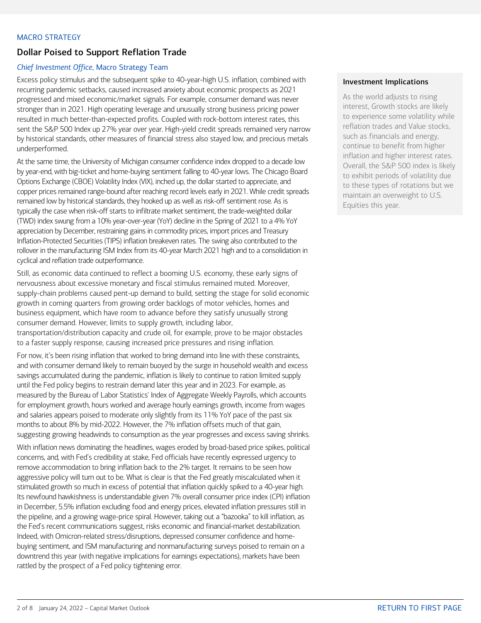## <span id="page-1-0"></span>MACRO STRATEGY

# Dollar Poised to Support Reflation Trade

## *Chief Investment Office*, Macro Strategy Team

Excess policy stimulus and the subsequent spike to 40-year-high U.S. inflation, combined with recurring pandemic setbacks, caused increased anxiety about economic prospects as 2021 progressed and mixed economic/market signals. For example, consumer demand was never stronger than in 2021. High operating leverage and unusually strong business pricing power resulted in much better-than-expected profits. Coupled with rock-bottom interest rates, this sent the S&P 500 Index up 27% year over year. High-yield credit spreads remained very narrow by historical standards, other measures of financial stress also stayed low, and precious metals underperformed.

At the same time, the University of Michigan consumer confidence index dropped to a decade low by year-end, with big-ticket and home-buying sentiment falling to 40-year lows. The Chicago Board Options Exchange (CBOE) Volatility Index (VIX), inched up, the dollar started to appreciate, and copper prices remained range-bound after reaching record levels early in 2021. While credit spreads remained low by historical standards, they hooked up as well as risk-off sentiment rose. As is typically the case when risk-off starts to infiltrate market sentiment, the trade-weighted dollar (TWD) index swung from a 10% year-over-year (YoY) decline in the Spring of 2021 to a 4% YoY appreciation by December, restraining gains in commodity prices, import prices and Treasury Inflation-Protected Securities (TIPS) inflation breakeven rates. The swing also contributed to the rollover in the manufacturing ISM Index from its 40-year March 2021 high and to a consolidation in cyclical and reflation trade outperformance.

Still, as economic data continued to reflect a booming U.S. economy, these early signs of nervousness about excessive monetary and fiscal stimulus remained muted. Moreover, supply-chain problems caused pent-up demand to build, setting the stage for solid economic growth in coming quarters from growing order backlogs of motor vehicles, homes and business equipment, which have room to advance before they satisfy unusually strong consumer demand. However, limits to supply growth, including labor, transportation/distribution capacity and crude oil, for example, prove to be major obstacles to a faster supply response, causing increased price pressures and rising inflation.

For now, it's been rising inflation that worked to bring demand into line with these constraints, and with consumer demand likely to remain buoyed by the surge in household wealth and excess savings accumulated during the pandemic, inflation is likely to continue to ration limited supply until the Fed policy begins to restrain demand later this year and in 2023. For example, as measured by the Bureau of Labor Statistics' Index of Aggregate Weekly Payrolls, which accounts for employment growth, hours worked and average hourly earnings growth, income from wages and salaries appears poised to moderate only slightly from its 11% YoY pace of the past six months to about 8% by mid-2022. However, the 7% inflation offsets much of that gain, suggesting growing headwinds to consumption as the year progresses and excess saving shrinks.

With inflation news dominating the headlines, wages eroded by broad-based price spikes, political concerns, and, with Fed's credibility at stake, Fed officials have recently expressed urgency to remove accommodation to bring inflation back to the 2% target. It remains to be seen how aggressive policy will turn out to be. What is clear is that the Fed greatly miscalculated when it stimulated growth so much in excess of potential that inflation quickly spiked to a 40-year high. Its newfound hawkishness is understandable given 7% overall consumer price index (CPI) inflation in December, 5.5% inflation excluding food and energy prices, elevated inflation pressures still in the pipeline, and a growing wage-price spiral. However, taking out a "bazooka" to kill inflation, as the Fed's recent communications suggest, risks economic and financial-market destabilization. Indeed, with Omicron-related stress/disruptions, depressed consumer confidence and homebuying sentiment, and ISM manufacturing and nonmanufacturing surveys poised to remain on a downtrend this year (with negative implications for earnings expectations), markets have been rattled by the prospect of a Fed policy tightening error.

## Investment Implications

As the world adjusts to rising interest, Growth stocks are likely to experience some volatility while reflation trades and Value stocks, such as financials and energy, continue to benefit from higher inflation and higher interest rates. Overall, the S&P 500 index is likely to exhibit periods of volatility due to these types of rotations but we maintain an overweight to U.S. Equities this year.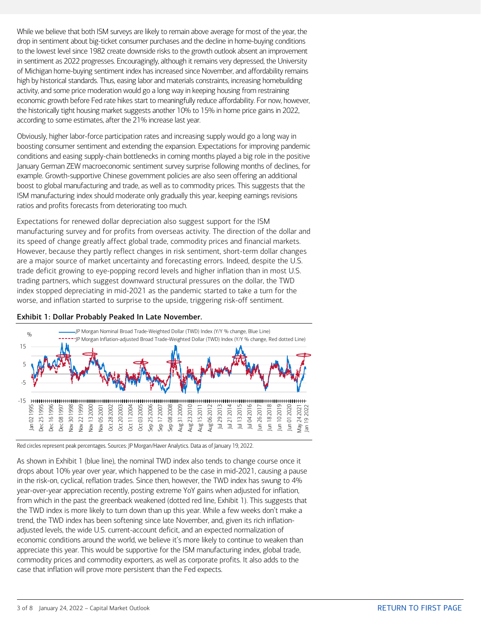While we believe that both ISM surveys are likely to remain above average for most of the year, the drop in sentiment about big-ticket consumer purchases and the decline in home-buying conditions to the lowest level since 1982 create downside risks to the growth outlook absent an improvement in sentiment as 2022 progresses. Encouragingly, although it remains very depressed, the University of Michigan home-buying sentiment index has increased since November, and affordability remains high by historical standards. Thus, easing labor and materials constraints, increasing homebuilding activity, and some price moderation would go a long way in keeping housing from restraining economic growth before Fed rate hikes start to meaningfully reduce affordability. For now, however, the historically tight housing market suggests another 10% to 15% in home price gains in 2022, according to some estimates, after the 21% increase last year.

Obviously, higher labor-force participation rates and increasing supply would go a long way in boosting consumer sentiment and extending the expansion. Expectations for improving pandemic conditions and easing supply-chain bottlenecks in coming months played a big role in the positive January German ZEW macroeconomic sentiment survey surprise following months of declines, for example. Growth-supportive Chinese government policies are also seen offering an additional boost to global manufacturing and trade, as well as to commodity prices. This suggests that the ISM manufacturing index should moderate only gradually this year, keeping earnings revisions ratios and profits forecasts from deteriorating too much.

Expectations for renewed dollar depreciation also suggest support for the ISM manufacturing survey and for profits from overseas activity. The direction of the dollar and its speed of change greatly affect global trade, commodity prices and financial markets. However, because they partly reflect changes in risk sentiment, short-term dollar changes are a major source of market uncertainty and forecasting errors. Indeed, despite the U.S. trade deficit growing to eye-popping record levels and higher inflation than in most U.S. trading partners, which suggest downward structural pressures on the dollar, the TWD index stopped depreciating in mid-2021 as the pandemic started to take a turn for the worse, and inflation started to surprise to the upside, triggering risk-off sentiment.





Red circles represent peak percentages. Sources: JP Morgan/Haver Analytics. Data as of January 19, 2022.

As shown in Exhibit 1 (blue line), the nominal TWD index also tends to change course once it drops about 10% year over year, which happened to be the case in mid-2021, causing a pause in the risk-on, cyclical, reflation trades. Since then, however, the TWD index has swung to 4% year-over-year appreciation recently, posting extreme YoY gains when adjusted for inflation, from which in the past the greenback weakened (dotted red line, Exhibit 1). This suggests that the TWD index is more likely to turn down than up this year. While a few weeks don't make a trend, the TWD index has been softening since late November, and, given its rich inflationadjusted levels, the wide U.S. current-account deficit, and an expected normalization of economic conditions around the world, we believe it's more likely to continue to weaken than appreciate this year. This would be supportive for the ISM manufacturing index, global trade, commodity prices and commodity exporters, as well as corporate profits. It also adds to the case that inflation will prove more persistent than the Fed expects.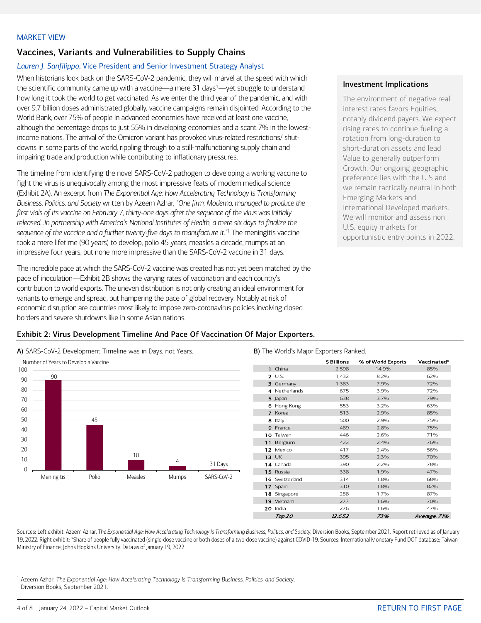### <span id="page-3-0"></span>MARKET VIEW

# Vaccines, Variants and Vulnerabilities to Supply Chains

## *Lauren J. Sanfilippo*, Vice President and Senior Investment Strategy Analyst

When historians look back on the SARS-CoV-2 pandemic, they will marvel at the speed with which the scientific community came up with a vaccine—a mere 3[1](#page-3-1) days<sup>1</sup>—yet struggle to understand how long it took the world to get vaccinated. As we enter the third year of the pandemic, and with over 9.7 billion doses administrated globally, vaccine campaigns remain disjointed. According to the World Bank, over 75% of people in advanced economies have received at least one vaccine, although the percentage drops to just 55% in developing economies and a scant 7% in the lowestincome nations. The arrival of the Omicron variant has provoked virus-related restrictions/ shutdowns in some parts of the world, rippling through to a still-malfunctioning supply chain and impairing trade and production while contributing to inflationary pressures.

The timeline from identifying the novel SARS-CoV-2 pathogen to developing a working vaccine to fight the virus is unequivocally among the most impressive feats of modern medical science (Exhibit 2A). An excerpt from *The Exponential Age: How Accelerating Technology Is Transforming Business, Politics, and Society* written by Azeem Azhar, *"One firm, Moderna, managed to produce the first vials of its vaccine on February 7, thirty-one days after the sequence of the virus was initially released…in partnership with America's National Institutes of Health, a mere six days to finalize the sequence of the vaccine and a further twenty-five days to manufacture it."*<sup>1</sup> The meningitis vaccine took a mere lifetime (90 years) to develop, polio 45 years, measles a decade, mumps at an impressive four years, but none more impressive than the SARS-CoV-2 vaccine in 31 days.

The incredible pace at which the SARS-CoV-2 vaccine was created has not yet been matched by the pace of inoculation—Exhibit 2B shows the varying rates of vaccination and each country's contribution to world exports. The uneven distribution is not only creating an ideal environment for variants to emerge and spread, but hampering the pace of global recovery. Notably at risk of economic disruption are countries most likely to impose zero-coronavirus policies involving closed borders and severe shutdowns like in some Asian nations.

## Exhibit 2: Virus Development Timeline And Pace Of Vaccination Of Major Exporters.

A) SARS-CoV-2 Development Timeline was in Days, not Years. **B)** The World's Major Exporters Ranked.



|                    | \$ Billions | % of World Exports | Vaccinated*       |
|--------------------|-------------|--------------------|-------------------|
| 1 China            | 2,598       | 14.9%              | 85%               |
| 2 U.S.             | 1,432       | 8.2%               | 62%               |
| 3 Germany          | 1,383       | 7.9%               | 72%               |
| 4 Netherlands      | 675         | 3.9%               | 72%               |
| 5 Japan            | 638         | 3.7%               | 79%               |
| 6 Hong Kong        | 553         | 3.2%               | 63%               |
| 7 Korea            | 513         | 2.9%               | 85%               |
| 8 Italy            | 500         | 2.9%               | 75%               |
| 9 France           | 489         | 2.8%               | 75%               |
| 10 Taiwan          | 446         | 2.6%               | 71%               |
| 11 Belgium         | 422         | 2.4%               | 76%               |
| 12 Mexico          | 417         | 2.4%               | 56%               |
| 13 UK              | 395         | 2.3%               | 70%               |
| 14 Canada          | 390         | 2.2%               | 78%               |
| 15 Russia          | 338         | 1.9%               | 47%               |
| 16 Switzerland     | 314         | 1.8%               | 68%               |
| 17 Spain           | 310         | 1.8%               | 82%               |
| 18 Singapore       | 288         | 1.7%               | 87%               |
| 19 Vietnam         | 277         | 1.6%               | 70%               |
| 20 India           | 276         | 1.6%               | 47%               |
| T <sub>OD</sub> 20 | 12652       | 73%                | $A$ verage $7196$ |

Sources: Left exhibit: Azeem Azhar, *The Exponential Age: How Accelerating Technology Is Transforming Business, Politics, and Society*, Diversion Books, September 2021. Report retrieved as of January 19, 2022. Right exhibit: \*Share of people fully vaccinated (single-dose vaccine or both doses of a two-dose vaccine) against COVID-19. Sources: International Monetary Fund DOT database; Taiwan Ministry of Finance; Johns Hopkins University. Data as of January 19, 2022.

<span id="page-3-1"></span><sup>1</sup> Azeem Azhar, *The Exponential Age: How Accelerating Technology Is Transforming Business, Politics, and Society*, Diversion Books, September 2021.

#### Investment Implications

The environment of negative real interest rates favors Equities, notably dividend payers. We expect rising rates to continue fueling a rotation from long-duration to short-duration assets and lead Value to generally outperform Growth. Our ongoing geographic preference lies with the U.S and we remain tactically neutral in both Emerging Markets and International Developed markets. We will monitor and assess non U.S. equity markets for opportunistic entry points in 2022.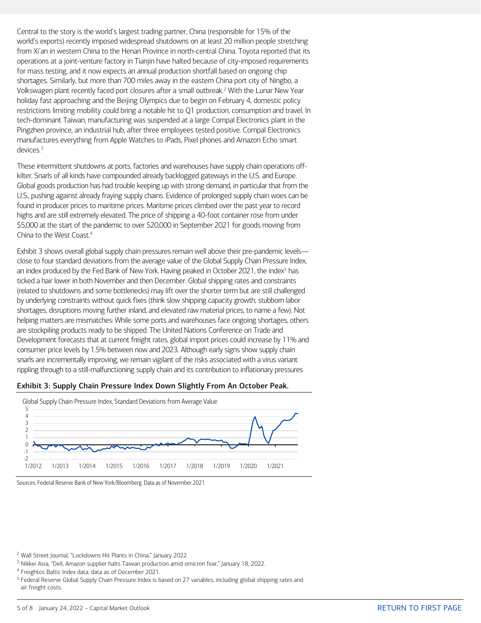Central to the story is the world's largest trading partner, China (responsible for 15% of the world's exports) recently imposed widespread shutdowns on at least 20 million people stretching from Xi'an in western China to the Henan Province in north-central China. Toyota reported that its operations at a joint-venture factory in Tianjin have halted because of city-imposed requirements for mass testing, and it now expects an annual production shortfall based on ongoing chip shortages. Similarly, but more than 700 miles away in the eastern China port city of Ningbo, a Volkswagen plant recently faced port closures after a small outbreak.<sup>[2](#page-4-0)</sup> With the Lunar New Year holiday fast approaching and the Beijing Olympics due to begin on February 4, domestic policy restrictions limiting mobility could bring a notable hit to Q1 production, consumption and travel. In tech-dominant Taiwan, manufacturing was suspended at a large Compal Electronics plant in the Pingzhen province, an industrial hub, after three employees tested positive. Compal Electronics manufactures everything from Apple Watches to iPads, Pixel phones and Amazon Echo smart devices.[3](#page-4-1)

These intermittent shutdowns at ports, factories and warehouses have supply chain operations offkilter. Snarls of all kinds have compounded already backlogged gateways in the U.S. and Europe. Global goods production has had trouble keeping up with strong demand, in particular that from the U.S., pushing against already fraying supply chains. Evidence of prolonged supply chain woes can be found in producer prices to maritime prices. Maritime prices climbed over the past year to record highs and are still extremely elevated. The price of shipping a 40-foot container rose from under \$5,000 at the start of the pandemic to over \$20,000 in September 2021 for goods moving from China to the West Coast.<sup>[4](#page-4-2)</sup>

Exhibit 3 shows overall global supply chain pressures remain well above their pre-pandemic levels close to four standard deviations from the average value of the Global Supply Chain Pressure Index, an index produced by the Fed Bank of New York. Having peaked in October 2021, the index<sup>[5](#page-4-3)</sup> has ticked a hair lower in both November and then December. Global shipping rates and constraints (related to shutdowns and some bottlenecks) may lift over the shorter term but are still challenged by underlying constraints without quick fixes (think slow shipping capacity growth, stubborn labor shortages, disruptions moving further inland, and elevated raw material prices, to name a few). Not helping matters are mismatches: While some ports and warehouses face ongoing shortages, others are stockpiling products ready to be shipped. The United Nations Conference on Trade and Development forecasts that at current freight rates, global import prices could increase by 11% and consumer price levels by 1.5% between now and 2023. Although early signs show supply chain snarls are incrementally improving, we remain vigilant of the risks associated with a virus variant rippling through to a still-malfunctioning supply chain and its contribution to inflationary pressures





Sources: Federal Reserve Bank of New York/Bloomberg. Data as of November 2021.

<span id="page-4-0"></span><sup>2</sup> Wall Street Journal, "Lockdowns Hit Plants in China," January 2022.

<span id="page-4-1"></span><sup>3</sup> Nikkei Asia, "Dell, Amazon supplier halts Taiwan production amid omicron fear," January 18, 2022.

<span id="page-4-2"></span><sup>4</sup> Freightos Baltic Index data, data as of December 2021.

<span id="page-4-3"></span><sup>5</sup> Federal Reserve Global Supply Chain Pressure Index is based on 27 variables, including global shipping rates and air freight costs.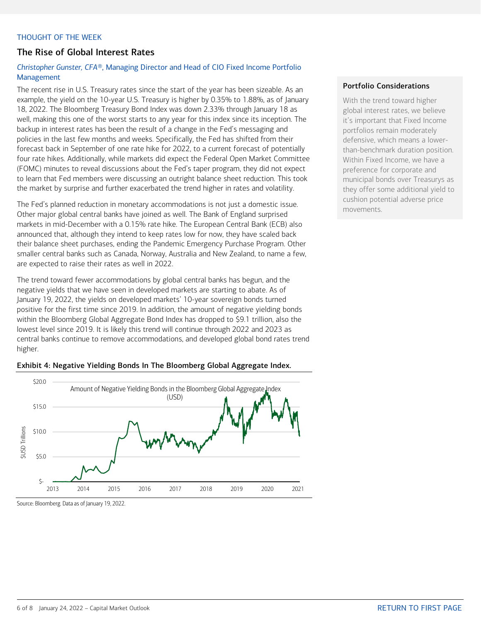## <span id="page-5-0"></span>THOUGHT OF THE WEEK

## The Rise of Global Interest Rates

## *Christopher Gunster, CFA®*, Managing Director and Head of CIO Fixed Income Portfolio Management

The recent rise in U.S. Treasury rates since the start of the year has been sizeable. As an example, the yield on the 10-year U.S. Treasury is higher by 0.35% to 1.88%, as of January 18, 2022. The Bloomberg Treasury Bond Index was down 2.33% through January 18 as well, making this one of the worst starts to any year for this index since its inception. The backup in interest rates has been the result of a change in the Fed's messaging and policies in the last few months and weeks. Specifically, the Fed has shifted from their forecast back in September of one rate hike for 2022, to a current forecast of potentially four rate hikes. Additionally, while markets did expect the Federal Open Market Committee (FOMC) minutes to reveal discussions about the Fed's taper program, they did not expect to learn that Fed members were discussing an outright balance sheet reduction. This took the market by surprise and further exacerbated the trend higher in rates and volatility.

The Fed's planned reduction in monetary accommodations is not just a domestic issue. Other major global central banks have joined as well. The Bank of England surprised markets in mid-December with a 0.15% rate hike. The European Central Bank (ECB) also announced that, although they intend to keep rates low for now, they have scaled back their balance sheet purchases, ending the Pandemic Emergency Purchase Program. Other smaller central banks such as Canada, Norway, Australia and New Zealand, to name a few, are expected to raise their rates as well in 2022.

The trend toward fewer accommodations by global central banks has begun, and the negative yields that we have seen in developed markets are starting to abate. As of January 19, 2022, the yields on developed markets' 10-year sovereign bonds turned positive for the first time since 2019. In addition, the amount of negative yielding bonds within the Bloomberg Global Aggregate Bond Index has dropped to \$9.1 trillion, also the lowest level since 2019. It is likely this trend will continue through 2022 and 2023 as central banks continue to remove accommodations, and developed global bond rates trend higher.





### Portfolio Considerations

With the trend toward higher global interest rates, we believe it's important that Fixed Income portfolios remain moderately defensive, which means a lowerthan-benchmark duration position. Within Fixed Income, we have a preference for corporate and municipal bonds over Treasurys as they offer some additional yield to cushion potential adverse price movements.

Source: Bloomberg. Data as of January 19, 2022.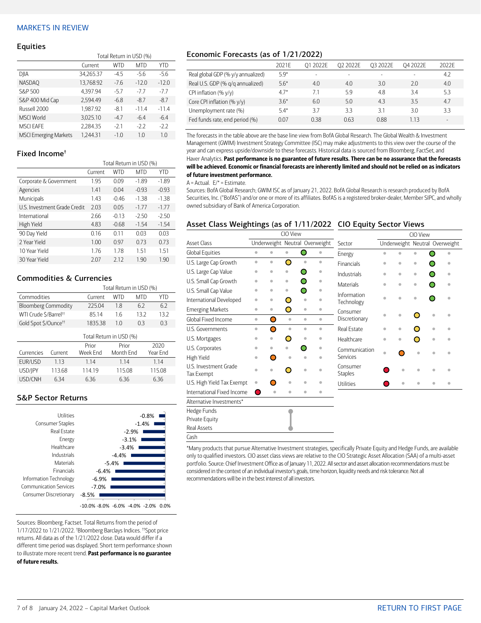## <span id="page-6-0"></span>MARKETS IN REVIEW

#### **Equities**

|                              | Total Return in USD (%) |        |            |         |  |  |  |  |
|------------------------------|-------------------------|--------|------------|---------|--|--|--|--|
|                              | Current                 | WTD    | <b>MTD</b> | YTD     |  |  |  |  |
| DJIA                         | 34,265.37               | $-4.5$ | $-5.6$     | $-5.6$  |  |  |  |  |
| <b>NASDAQ</b>                | 13,768.92               | $-7.6$ | $-12.0$    | $-12.0$ |  |  |  |  |
| S&P 500                      | 4.397.94                | $-5.7$ | $-7.7$     | $-7.7$  |  |  |  |  |
| S&P 400 Mid Cap              | 2.594.49                | $-6.8$ | $-8.7$     | $-8.7$  |  |  |  |  |
| Russell 2000                 | 1.987.92                | $-8.1$ | $-11.4$    | $-11.4$ |  |  |  |  |
| <b>MSCI World</b>            | 3,025.10                | $-4.7$ | $-6.4$     | $-6.4$  |  |  |  |  |
| <b>MSCI EAFE</b>             | 2,284.35                | $-2.1$ | $-2.2$     | $-2.2$  |  |  |  |  |
| <b>MSCI Emerging Markets</b> | 1.244.31                | $-1.0$ | 1.0        | 1.0     |  |  |  |  |

## Fixed Income†

|                              | Total Return in USD (%) |            |            |         |  |  |  |
|------------------------------|-------------------------|------------|------------|---------|--|--|--|
|                              | Current                 | <b>WTD</b> | <b>MTD</b> | YTD     |  |  |  |
| Corporate & Government       | 1.95                    | 0.09       | $-1.89$    | $-1.89$ |  |  |  |
| Agencies                     | 1.41                    | 0.04       | $-0.93$    | $-0.93$ |  |  |  |
| Municipals                   | 1.43                    | $-0.46$    | $-1.38$    | $-1.38$ |  |  |  |
| U.S. Investment Grade Credit | 2.03                    | 0.05       | $-1.77$    | $-1.77$ |  |  |  |
| International                | 2.66                    | $-0.13$    | $-2.50$    | $-2.50$ |  |  |  |
| High Yield                   | 4.83                    | $-0.68$    | $-1.54$    | $-1.54$ |  |  |  |
| 90 Day Yield                 | 0.16                    | 011        | 0.03       | 0.03    |  |  |  |
| 2 Year Yield                 | 1.00                    | 0.97       | 0.73       | 0.73    |  |  |  |
| 10 Year Yield                | 1.76                    | 1.78       | 1.51       | 1.51    |  |  |  |
| 30 Year Yield                | 2.07                    | 2.12       | 1.90       | 1.90    |  |  |  |

## Commodities & Currencies

|                                   |         | Total Return in USD (%) |            |                       |        |  |  |  |
|-----------------------------------|---------|-------------------------|------------|-----------------------|--------|--|--|--|
| Commodities                       |         | Current                 | <b>WTD</b> | <b>MTD</b>            | YTD    |  |  |  |
| <b>Bloomberg Commodity</b>        |         | 225.04                  | 1.8        | 6.2                   | 6.2    |  |  |  |
| WTI Crude \$/Barrel <sup>++</sup> |         | 85.14                   | 1.6        | 13.2                  | 13.2   |  |  |  |
| Gold Spot \$/Ounce <sup>tt</sup>  |         | 1835.38                 | 1.0        | 0.3                   | 0.3    |  |  |  |
| Total Return in USD (%)           |         |                         |            |                       |        |  |  |  |
|                                   |         | 2020<br>Prior<br>Prior  |            |                       |        |  |  |  |
| Currencies                        | Current | Week End                |            | Month Fnd<br>Year Fnd |        |  |  |  |
| EUR/USD                           | 1.13    | 1.14                    | 1.14       |                       | 1.14   |  |  |  |
| USD/JPY                           | 113.68  | 114.19                  | 115.08     |                       | 115.08 |  |  |  |
| USD/CNH<br>6.34                   |         | 6.36                    | 6.36       |                       | 6.36   |  |  |  |

## S&P Sector Returns



Sources: Bloomberg, Factset. Total Returns from the period of 1/17/2022 to 1/21/2022. † Bloomberg Barclays Indices. ††Spot price returns. All data as of the 1/21/2022 close. Data would differ if a different time period was displayed. Short term performance shown to illustrate more recent trend. Past performance is no guarantee of future results.

## Economic Forecasts (as of 1/21/2022)

|                                    | 2021F  | 01 2022E | Q2 2022E | 03 2022F | O4 2022E | 2022F  |
|------------------------------------|--------|----------|----------|----------|----------|--------|
| Real global GDP (% y/y annualized) | 5.9*   |          |          | -        | $\sim$   | 4.2    |
| Real U.S. GDP (% q/q annualized)   | $5.6*$ | 4.0      | 4.0      | 3.0      | 2.0      | 4.0    |
| CPI inflation $(\% \gamma/\gamma)$ | $4.7*$ | 7.1      | 5.9      | 4.8      | 3.4      | 5.3    |
| Core CPI inflation (% y/y)         | $3.6*$ | 6.0      | 5.0      | 4.3      | 35       | 4.7    |
| Unemployment rate (%)              | $5.4*$ | 37       | 3.3      | 3.1      | 3.0      | 3.3    |
| Fed funds rate, end period (%)     | 0.07   | 0.38     | 0.63     | 0.88     | 1.13     | $\sim$ |

The forecasts in the table above are the base line view from BofA Global Research. The Global Wealth & Investment Management (GWIM) Investment Strategy Committee (ISC) may make adjustments to this view over the course of the year and can express upside/downside to these forecasts. Historical data is sourced from Bloomberg, FactSet, and Haver Analytics. Past performance is no guarantee of future results. There can be no assurance that the forecasts will be achieved. Economic or financial forecasts are inherently limited and should not be relied on as indicators of future investment performance.

#### $A =$  Actual.  $E/* =$  Estimate.

Sources: BofA Global Research; GWIM ISC as of January 21, 2022. BofA Global Research is research produced by BofA Securities, Inc. ("BofAS") and/or one or more of its affiliates. BofAS is a registered broker-dealer, Member SIPC, and wholly owned subsidiary of Bank of America Corporation.

### Asset Class Weightings (as of 1/11/2022 CIO Equity Sector Views

|                                     | CIO View  |           |                                |                       |                         |                            | CIO View |           |                                |           |           |
|-------------------------------------|-----------|-----------|--------------------------------|-----------------------|-------------------------|----------------------------|----------|-----------|--------------------------------|-----------|-----------|
| <b>Asset Class</b>                  |           |           | Underweight Neutral Overweight |                       |                         | Sector                     |          |           | Underweight Neutral Overweight |           |           |
| Global Equities                     | $\bullet$ | $\bullet$ | $\bullet$                      | ◯                     | $\color{black} \bullet$ | Energy                     | ò        |           |                                |           |           |
| U.S. Large Cap Growth               | $\bullet$ | $\bullet$ | O                              | $\bullet$             | $\bullet$               | <b>Financials</b>          | ۰        | ö         | ۰                              |           | ۰         |
| U.S. Large Cap Value                | ۰         | ۵         | ۰                              |                       | $\bullet$               | Industrials                | ۵        | ö         | $\bullet$                      |           | $\bullet$ |
| U.S. Small Cap Growth               | $\bullet$ | ö         | $\bullet$                      |                       | $\bullet$               | <b>Materials</b>           | ۰        | $\bullet$ | $\bullet$                      |           | $\bullet$ |
| U.S. Small Cap Value                | $\bullet$ | $\bullet$ | $\bullet$                      |                       | $\bullet$               | Information                |          |           |                                |           |           |
| International Developed             | $\bullet$ | ö         | O                              | $\bullet$             |                         | Technology                 | ä        | ó         |                                |           |           |
| <b>Emerging Markets</b>             | $\bullet$ | $\bullet$ | O                              | $\color{red} \bullet$ | ۰                       | Consumer                   |          |           |                                |           |           |
| Global Fixed Income                 | $\bullet$ | ∩         | $\bullet$                      | $\bullet$             | $\bullet$               | Discretionary              | ۵        | é         |                                |           |           |
| U.S. Governments                    | $\bullet$ | ∩         | $\bullet$                      | $\bullet$             | $\bullet$               | Real Estate                | ۰        | ۰         |                                | $\bullet$ |           |
| U.S. Mortgages                      | ۵         |           | O                              | $\bullet$             | $\bullet$               | Healthcare                 | ó        | ö         | ◠                              | $\bullet$ |           |
| U.S. Corporates                     | ۰         | ۰         | ۰                              |                       | $\bullet$               | Communication              | ò        |           |                                |           |           |
| High Yield                          | ۰         | ◯         | $\alpha$                       | $\bullet$             | $\bullet$               | <b>Services</b>            |          |           |                                |           |           |
| U.S. Investment Grade<br>Tax Exempt | ó         |           | ∩                              | $\bullet$             | ٠                       | Consumer<br><b>Staples</b> |          | ۰         |                                |           |           |
| U.S. High Yield Tax Exempt          | ۰         | ┑         | ó                              | ó                     | $\bullet$               | Utilities                  |          | ۰         |                                |           | ۵         |
| International Fixed Income          | Ο         | $\bullet$ | ó                              | $\bullet$             | ۰                       |                            |          |           |                                |           |           |
| Alternative Investments*            |           |           |                                |                       |                         |                            |          |           |                                |           |           |
| Hedge Funds                         |           |           |                                |                       |                         |                            |          |           |                                |           |           |
| Private Equity                      |           |           |                                |                       |                         |                            |          |           |                                |           |           |
| Real Assets                         |           |           |                                |                       |                         |                            |          |           |                                |           |           |
| Cash                                |           |           |                                |                       |                         |                            |          |           |                                |           |           |

\*Many products that pursue Alternative Investment strategies, specifically Private Equity and Hedge Funds, are available only to qualified investors. CIO asset class views are relative to the CIO Strategic Asset Allocation (SAA) of a multi-asset portfolio. Source: Chief Investment Office as of January 11, 2022. All sector and asset allocation recommendations must be considered in the context of an individual investor's goals, time horizon, liquidity needs and risk tolerance. Not all recommendations will be in the best interest of all investors.